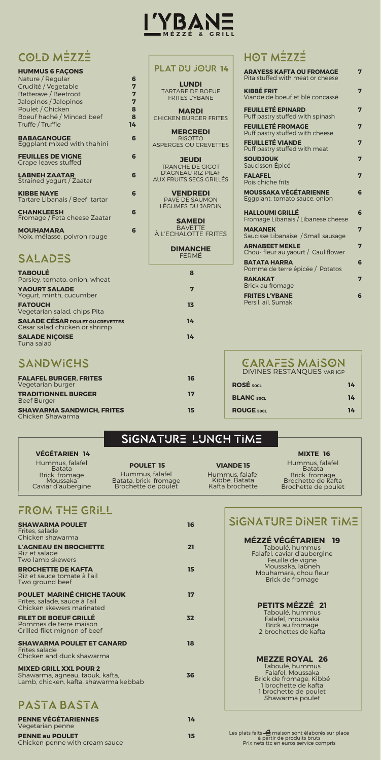| <b>HUMMUS 6 FAÇONS</b>                              |    |
|-----------------------------------------------------|----|
| Nature / Regular                                    | 6  |
| Crudité / Vegetable                                 | 7  |
| Betterave / Beetroot                                | 7  |
| Jalopinos / Jalopinos                               | 7  |
| Poulet / Chicken                                    | 8  |
| Boeuf haché / Minced beef                           | 8  |
| Truffe / Truffle                                    | 14 |
| <b>BABAGANOUGE</b><br>Eggplant mixed with thahini   | 6  |
| <b>FEUILLES DE VIGNE</b><br>Grape leaves stuffed    | 6  |
| <b>LABNEH ZAATAR</b><br>Strained yogurt / Zaatar    | 6  |
| <b>KIBBE NAYE</b><br>Tartare Libanais / Beef tartar | 6  |
| <b>CHANKLEESH</b><br>Fromage / Feta cheese Zaatar   | 6  |
| <b>MOUHAMARA</b><br>Noix, mélasse, poivron rouge    | 6  |

# **SALADES**

**ARAYESS KAFTA OU FROMAGE 7**

Pita stuffed with meat or cheese

**KIBBÉ FRIT 7**

Viande de boeuf et blé concassé

**FEUILLETÉ EPINARD 7**

Puff pastry stuffed with spinash

**FEUILLETÉ FROMAGE 7**

Puff pastry stuffed with cheese

**FEUILLETÉ VIANDE 7** 

**SOUDJOUK 7** 

Puff pastry stuffed with meat

Saucisson Épicé

**FALAFEL 7**

Pois chiche frits

**MOUSSAKA VÉGÉTARIENNE 6**

Eggplant, tomato sauce, onion

**POULET 15** Hummus, falafel<br>Batata, brick fromage Brochette de poulet

**HALLOUMI GRILLÉ 6** Fromage Libanais / Libanese cheese **MAKANEK 7** Saucisse Libanaise / Small sausage

### Brick fromage<br>Brochette de kafta Brochette de poulet

# FROM THE GRILL

**ARNABEET MEKLE 7** Chou- fleur au yaourt / Cauliflower **BATATA HARRA 6** Pomme de terre épicée / Potatos **RAKAKAT 7** Brick au fromage

**FRITES L'YBANE 6** Persil, ail, Sumak

| <b>TABOULÉ</b><br>Parsley, tomato, onion, wheat                          | 8  |
|--------------------------------------------------------------------------|----|
| <b>YAOURT SALADE</b><br>Yogurt, minth, cucumber                          | 7  |
| <b>FATOUCH</b><br>Vegetarian salad, chips Pita                           | 13 |
| <b>SALADE CÉSAR POULET OU CREVETTES</b><br>Cesar salad chicken or shrimp | 14 |
| <b>SALADE NIÇOISE</b><br>Tuna salad                                      | 14 |
| <b>SANDWICHS</b>                                                         |    |
| <b>FALAFEL BURGER, FRITES</b><br>Vegetarian burger                       | 16 |

**TRADITIONNEL BURGER 17** 

**SHAWARMA SANDWICH, FRITES** 15

Beef Burger

Chicken Shawarma



| <b>ROSE</b> 50CL  | 14 |
|-------------------|----|
| <b>BLANC</b> 50CL | 14 |
| <b>ROUGE 50CL</b> | 14 |

### SIGNATURE LUNCH TIME

**VIANDE 15**

Hummus, falafel Kibbé, Batata Kafta brochette

#### COLD MÉZZÉ Hot Mezze ' ' '

lats faits  $\stackrel{\Delta}{=}$  maison sont élaborés sur place à partir de produits bruts Prix nets ttc en euros service compris

**MIXTE 16** Hummus, falafel Batata

**VÉGÉTARIEN 14** Hummus, falafel Batata Brick fromage Moussaka Caviar d'aubergine

| <b>SHAWARMA POULET</b><br>Frites. salade<br>Chicken shawarma                                              | 16 | 51(   |
|-----------------------------------------------------------------------------------------------------------|----|-------|
| L'AGNEAU EN BROCHETTE<br>Riz et salade<br>Two lamb skewers                                                | 21 |       |
| <b>BROCHETTE DE KAFTA</b><br>Riz et sauce tomate à l'ail<br>Two ground beef                               | 15 |       |
| <b>POULET MARINÉ CHICHE TAOUK</b><br>Frites, salade, sauce à l'ail<br>Chicken skewers marinated           | 17 |       |
| <b>FILET DE BOEUF GRILLÉ</b><br>Pommes de terre maison<br>Grilled filet mignon of beef                    | 32 |       |
| <b>SHAWARMA POULET ET CANARD</b><br><b>Frites salade</b><br>Chicken and duck shawarma                     | 18 |       |
| <b>MIXED GRILL XXL POUR 2</b><br>Shawarma, agneau, taouk, kafta,<br>Lamb, chicken, kafta, shawarma kebbab | 36 |       |
| PASTA BASTA                                                                                               |    |       |
| <b>PENNE VÉGÉTARIENNES</b><br>Vegetarian penne                                                            | 14 |       |
| <b>PENNE au POULET</b><br>Chicken penne with cream sauce                                                  | 15 | Les p |
|                                                                                                           |    |       |

signature diner time

#### **MÉZZÉ VÉGÉTARIEN 19**

Taboulé, hummus Falafel, caviar d'aubergine Feuille de vigne Moussaka, labneh Mouhamara, chou f Brick de fromage

### **PETITS MÉZZÉ 21**

Taboulé, hummus Falafel, moussaka Brick au fromage 2 brochettes de kafta

#### **MEZZE ROYAL 26**

Taboulé, hummus Falafel, Moussaka Brick de fromage, Kibbé 1 brochette de kafta 1 brochette de poulet Shawarma poulet

**LUNDI** TARTARE DE BOEUF FRITES L'YBANE

**MARDI** CHICKEN BURGER FRITES

**MERCREDI** RISOTTO ASPERGES OU CREVETTES

**JEUDI** TRANCHE DE GIGOT D'AGNEAU RIZ PILAF AUX FRUITS SECS GRILLÉS

**VENDREDI** PAVÉ DE SAUMON LÉGUMES DU JARDIN

**SAMEDI** BAVETTE À L'ECHALOTTE FRITES

> **DIMANCHE** FERMÉ

| <b>PLAT DU JOUR 14</b> |
|------------------------|
|------------------------|